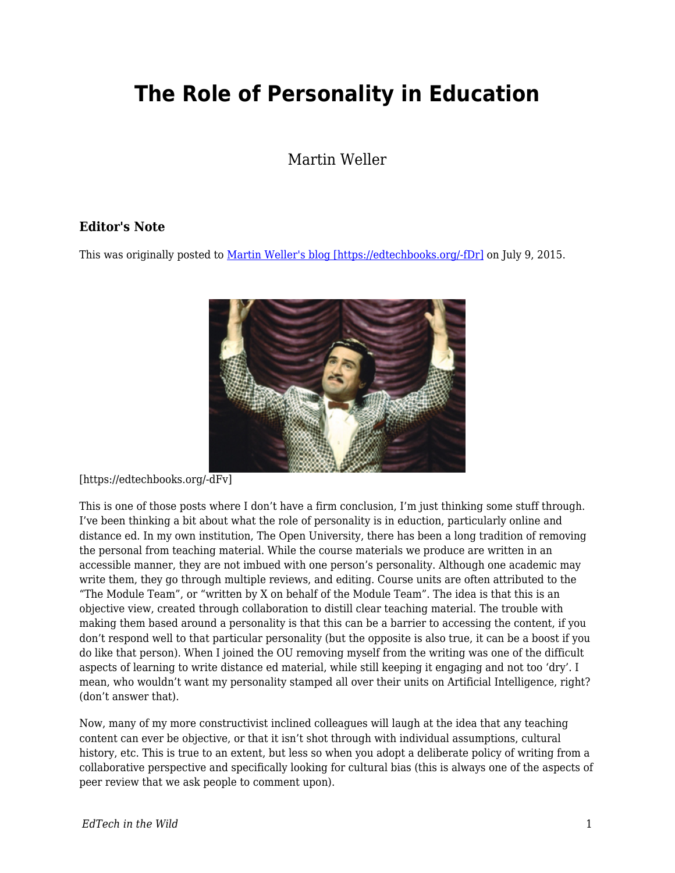## **The Role of Personality in Education**

Martin Weller

## **Editor's Note**

This was originally posted to [Martin Weller's blog \[https://edtechbooks.org/-fDr\]](http://blog.edtechie.net/mooc/the-role-of-personality-in-education/) on July 9, 2015.



[https://edtechbooks.org/-dFv]

This is one of those posts where I don't have a firm conclusion, I'm just thinking some stuff through. I've been thinking a bit about what the role of personality is in eduction, particularly online and distance ed. In my own institution, The Open University, there has been a long tradition of removing the personal from teaching material. While the course materials we produce are written in an accessible manner, they are not imbued with one person's personality. Although one academic may write them, they go through multiple reviews, and editing. Course units are often attributed to the "The Module Team", or "written by X on behalf of the Module Team". The idea is that this is an objective view, created through collaboration to distill clear teaching material. The trouble with making them based around a personality is that this can be a barrier to accessing the content, if you don't respond well to that particular personality (but the opposite is also true, it can be a boost if you do like that person). When I joined the OU removing myself from the writing was one of the difficult aspects of learning to write distance ed material, while still keeping it engaging and not too 'dry'. I mean, who wouldn't want my personality stamped all over their units on Artificial Intelligence, right? (don't answer that).

Now, many of my more constructivist inclined colleagues will laugh at the idea that any teaching content can ever be objective, or that it isn't shot through with individual assumptions, cultural history, etc. This is true to an extent, but less so when you adopt a deliberate policy of writing from a collaborative perspective and specifically looking for cultural bias (this is always one of the aspects of peer review that we ask people to comment upon).